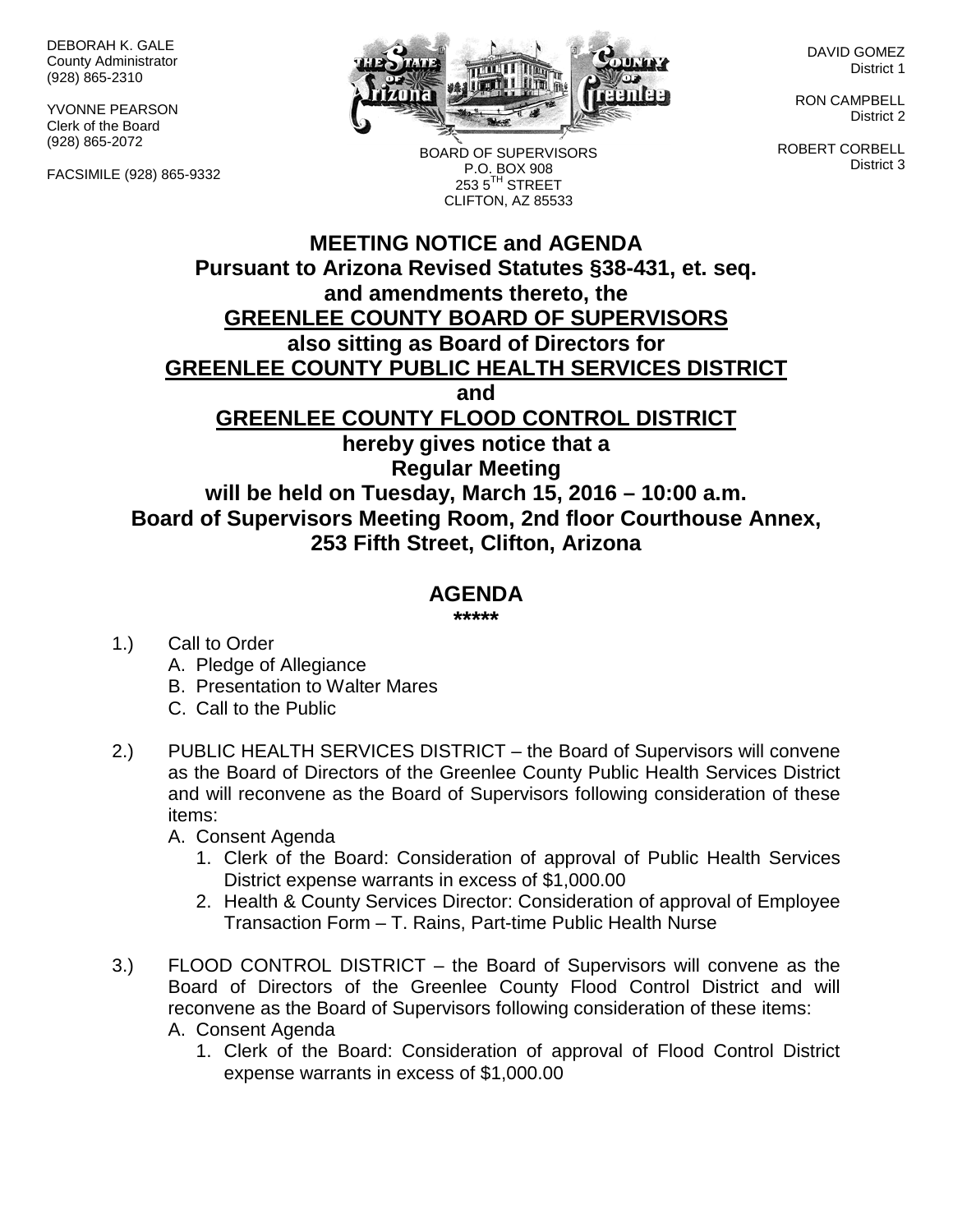DEBORAH K. GALE County Administrator (928) 865-2310

YVONNE PEARSON Clerk of the Board (928) 865-2072

FACSIMILE (928) 865-9332



BOARD OF SUPERVISORS P.O. BOX 908  $253.5$ <sup>TH</sup> STREET CLIFTON, AZ 85533

DAVID GOMEZ District 1

RON CAMPBELL District 2

ROBERT CORBELL District 3

## **MEETING NOTICE and AGENDA Pursuant to Arizona Revised Statutes §38-431, et. seq. and amendments thereto, the GREENLEE COUNTY BOARD OF SUPERVISORS also sitting as Board of Directors for GREENLEE COUNTY PUBLIC HEALTH SERVICES DISTRICT and GREENLEE COUNTY FLOOD CONTROL DISTRICT hereby gives notice that a Regular Meeting will be held on Tuesday, March 15, 2016 – 10:00 a.m. Board of Supervisors Meeting Room, 2nd floor Courthouse Annex, 253 Fifth Street, Clifton, Arizona**

## **AGENDA**

**\*\*\*\*\***

- 1.) Call to Order
	- A. Pledge of Allegiance
	- B. Presentation to Walter Mares
	- C. Call to the Public
- 2.) PUBLIC HEALTH SERVICES DISTRICT the Board of Supervisors will convene as the Board of Directors of the Greenlee County Public Health Services District and will reconvene as the Board of Supervisors following consideration of these items:
	- A. Consent Agenda
		- 1. Clerk of the Board: Consideration of approval of Public Health Services District expense warrants in excess of \$1,000.00
		- 2. Health & County Services Director: Consideration of approval of Employee Transaction Form – T. Rains, Part-time Public Health Nurse
- 3.) FLOOD CONTROL DISTRICT the Board of Supervisors will convene as the Board of Directors of the Greenlee County Flood Control District and will reconvene as the Board of Supervisors following consideration of these items: A. Consent Agenda
	- - 1. Clerk of the Board: Consideration of approval of Flood Control District expense warrants in excess of \$1,000.00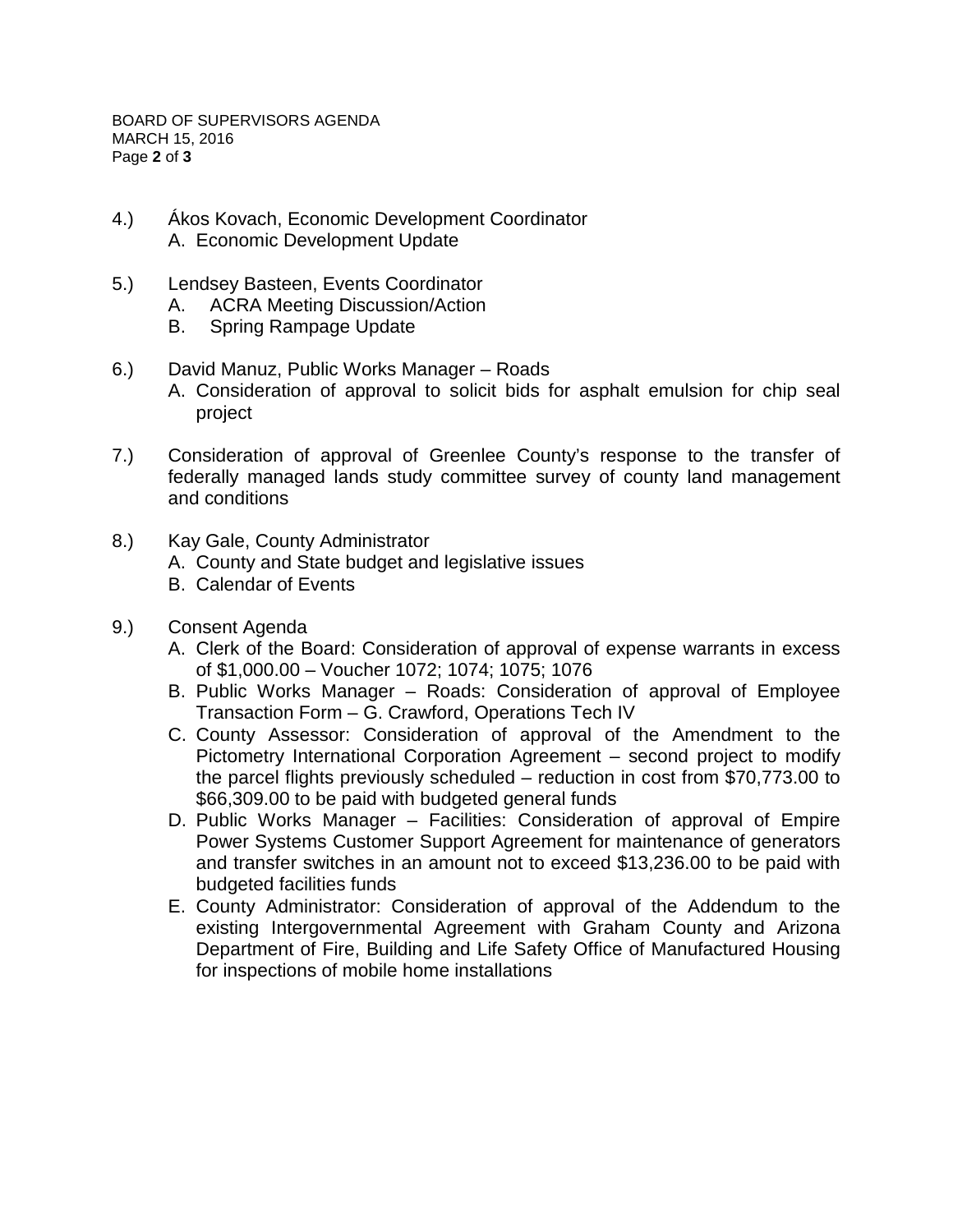BOARD OF SUPERVISORS AGENDA MARCH 15, 2016 Page **2** of **3**

- 4.) Ákos Kovach, Economic Development Coordinator A. Economic Development Update
- 5.) Lendsey Basteen, Events Coordinator
	- A. ACRA Meeting Discussion/Action
	- B. Spring Rampage Update
- 6.) David Manuz, Public Works Manager Roads
	- A. Consideration of approval to solicit bids for asphalt emulsion for chip seal project
- 7.) Consideration of approval of Greenlee County's response to the transfer of federally managed lands study committee survey of county land management and conditions
- 8.) Kay Gale, County Administrator
	- A. County and State budget and legislative issues
	- B. Calendar of Events
- 9.) Consent Agenda
	- A. Clerk of the Board: Consideration of approval of expense warrants in excess of \$1,000.00 – Voucher 1072; 1074; 1075; 1076
	- B. Public Works Manager Roads: Consideration of approval of Employee Transaction Form – G. Crawford, Operations Tech IV
	- C. County Assessor: Consideration of approval of the Amendment to the Pictometry International Corporation Agreement – second project to modify the parcel flights previously scheduled – reduction in cost from \$70,773.00 to \$66,309.00 to be paid with budgeted general funds
	- D. Public Works Manager Facilities: Consideration of approval of Empire Power Systems Customer Support Agreement for maintenance of generators and transfer switches in an amount not to exceed \$13,236.00 to be paid with budgeted facilities funds
	- E. County Administrator: Consideration of approval of the Addendum to the existing Intergovernmental Agreement with Graham County and Arizona Department of Fire, Building and Life Safety Office of Manufactured Housing for inspections of mobile home installations